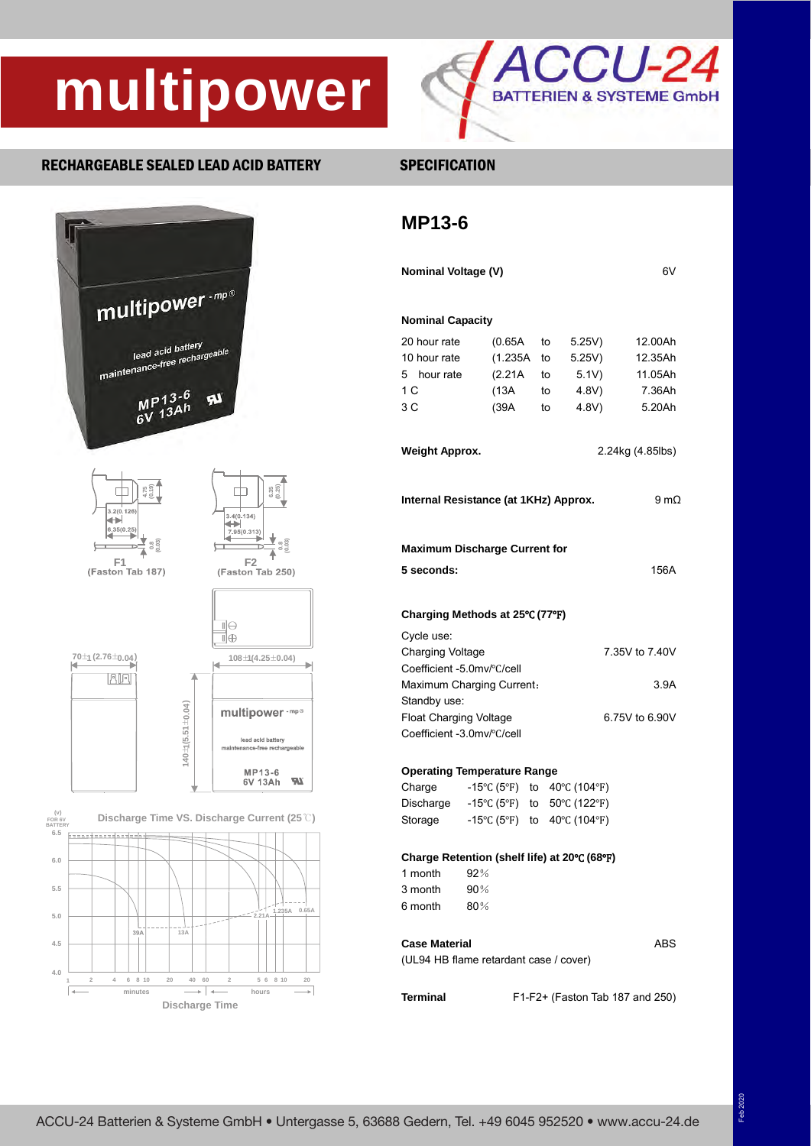# **multipower**



### RECHARGEABLE SEALED LEAD ACID BATTERY SPECIFICATION





### **MP13-6**

| <b>Nominal Voltage (V)</b><br>6V                                              |                                                       |                  |                                       |                 |                |  |  |  |  |
|-------------------------------------------------------------------------------|-------------------------------------------------------|------------------|---------------------------------------|-----------------|----------------|--|--|--|--|
| <b>Nominal Capacity</b>                                                       |                                                       |                  |                                       |                 |                |  |  |  |  |
|                                                                               | 20 hour rate<br>(0.65A)<br>to                         |                  |                                       |                 | 12.00Ah        |  |  |  |  |
| 10 hour rate                                                                  | (1.235A                                               |                  | to                                    | 5.25V)<br>5.25V | 12.35Ah        |  |  |  |  |
| 5 hour rate                                                                   | (2.21A                                                |                  | to                                    | 5.1V)           | 11.05Ah        |  |  |  |  |
| 1 <sup>C</sup>                                                                | (13A                                                  |                  | to                                    | 4.8V)           | 7.36Ah         |  |  |  |  |
| 3 C                                                                           | (39A                                                  |                  | to                                    | 4.8V)           | 5.20Ah         |  |  |  |  |
| <b>Weight Approx.</b>                                                         |                                                       | 2.24kg (4.85lbs) |                                       |                 |                |  |  |  |  |
|                                                                               | Internal Resistance (at 1KHz) Approx.<br>9 m $\Omega$ |                  |                                       |                 |                |  |  |  |  |
| 5 seconds:                                                                    | <b>Maximum Discharge Current for</b><br>156A          |                  |                                       |                 |                |  |  |  |  |
|                                                                               | Charging Methods at 25°C (77°F)                       |                  |                                       |                 |                |  |  |  |  |
| Cycle use:                                                                    |                                                       |                  |                                       |                 |                |  |  |  |  |
|                                                                               | <b>Charging Voltage</b>                               |                  |                                       |                 | 7.35V to 7.40V |  |  |  |  |
|                                                                               | Coefficient -5.0mv/°C/cell                            |                  |                                       |                 |                |  |  |  |  |
| Maximum Charging Current:                                                     |                                                       | 3.9A             |                                       |                 |                |  |  |  |  |
| Standby use:                                                                  |                                                       |                  |                                       |                 |                |  |  |  |  |
| <b>Float Charging Voltage</b><br>6.75V to 6.90V<br>Coefficient -3.0mv/°C/cell |                                                       |                  |                                       |                 |                |  |  |  |  |
|                                                                               |                                                       |                  |                                       |                 |                |  |  |  |  |
|                                                                               | <b>Operating Temperature Range</b>                    |                  |                                       |                 |                |  |  |  |  |
| Charge                                                                        | -15℃ (5°F) to 40℃ (104°F)                             |                  |                                       |                 |                |  |  |  |  |
|                                                                               |                                                       |                  | Discharge -15°C (5°F) to 50°C (122°F) |                 |                |  |  |  |  |
| Storage                                                                       | -15°C (5°F) to 40°C (104°F)                           |                  |                                       |                 |                |  |  |  |  |
|                                                                               | Charge Retention (shelf life) at 20°C (68°F)          |                  |                                       |                 |                |  |  |  |  |
| 1 month $92\%$                                                                |                                                       |                  |                                       |                 |                |  |  |  |  |
| 3 month                                                                       | 90%                                                   |                  |                                       |                 |                |  |  |  |  |
| 6 month                                                                       | $80\%$                                                |                  |                                       |                 |                |  |  |  |  |
| <b>Case Material</b>                                                          |                                                       |                  |                                       |                 | ABS            |  |  |  |  |
| (UL94 HB flame retardant case / cover)                                        |                                                       |                  |                                       |                 |                |  |  |  |  |
|                                                                               |                                                       |                  |                                       |                 |                |  |  |  |  |

**Terminal** F1-F2+ (Faston Tab 187 and 250)